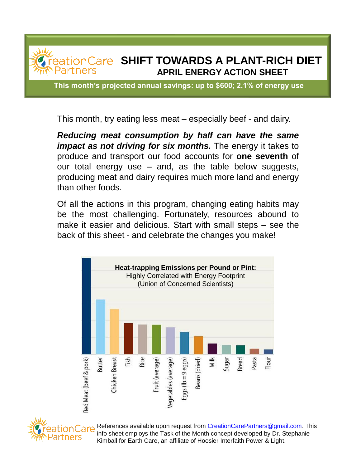

**This month's projected annual savings: up to \$600; 2.1% of energy use**

This month, try eating less meat – especially beef - and dairy.

*Reducing meat consumption by half can have the same impact as not driving for six months.* The energy it takes to produce and transport our food accounts for **one seventh** of our total energy use – and, as the table below suggests, producing meat and dairy requires much more land and energy than other foods.

Of all the actions in this program, changing eating habits may be the most challenging. Fortunately, resources abound to make it easier and delicious. Start with small steps – see the back of this sheet - and celebrate the changes you make!





References available upon request from [CreationCarePartners@gmail.com.](mailto:CreationCarePartners@gmail.com) This info sheet employs the Task of the Month concept developed by Dr. Stephanie Kimball for Earth Care, an affiliate of Hoosier Interfaith Power & Light.